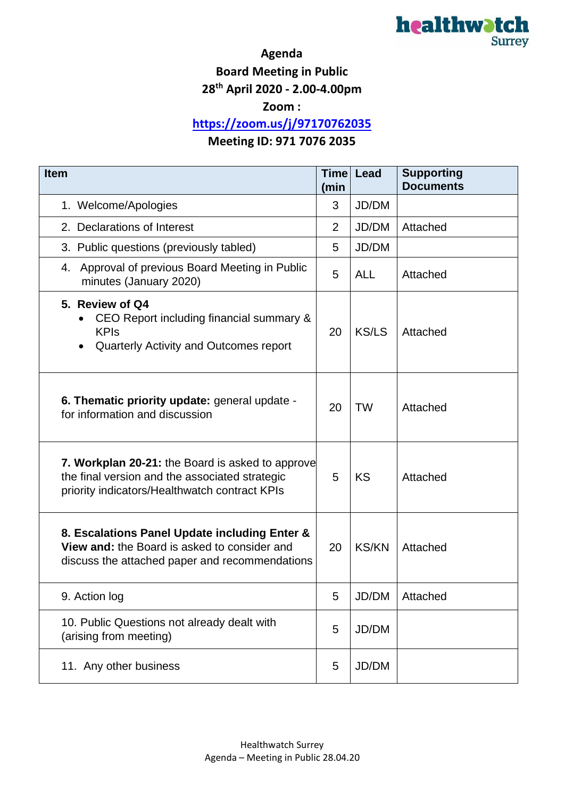

## **Agenda**

**Board Meeting in Public**

**28th April 2020 - 2.00-4.00pm**

**Zoom :** 

**<https://zoom.us/j/97170762035>**

## **Meeting ID: 971 7076 2035**

| <b>Item</b>                                                                                                                                         |    | <b>Time</b><br><b>Lead</b> | <b>Supporting</b><br><b>Documents</b> |
|-----------------------------------------------------------------------------------------------------------------------------------------------------|----|----------------------------|---------------------------------------|
| 1. Welcome/Apologies                                                                                                                                |    | JD/DM                      |                                       |
| 2. Declarations of Interest                                                                                                                         |    | JD/DM                      | Attached                              |
| 3. Public questions (previously tabled)                                                                                                             |    | JD/DM                      |                                       |
| Approval of previous Board Meeting in Public<br>4.<br>minutes (January 2020)                                                                        |    | <b>ALL</b>                 | Attached                              |
| 5. Review of Q4<br>CEO Report including financial summary &<br><b>KPIs</b><br>Quarterly Activity and Outcomes report                                |    | <b>KS/LS</b>               | Attached                              |
| 6. Thematic priority update: general update -<br>for information and discussion                                                                     | 20 | <b>TW</b>                  | Attached                              |
| 7. Workplan 20-21: the Board is asked to approve<br>the final version and the associated strategic<br>priority indicators/Healthwatch contract KPIs |    | <b>KS</b>                  | Attached                              |
| 8. Escalations Panel Update including Enter &<br>View and: the Board is asked to consider and<br>discuss the attached paper and recommendations     |    | <b>KS/KN</b>               | Attached                              |
| 9. Action log                                                                                                                                       |    | JD/DM                      | Attached                              |
| 10. Public Questions not already dealt with<br>(arising from meeting)                                                                               |    | JD/DM                      |                                       |
| 11. Any other business                                                                                                                              |    | JD/DM                      |                                       |